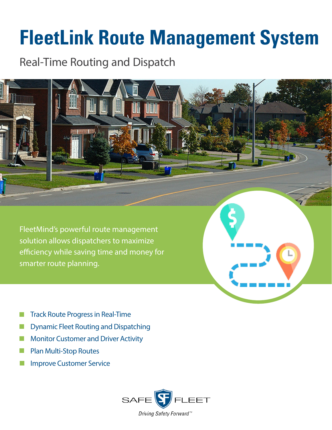## **FleetLink Route Management System**

Real-Time Routing and Dispatch

FleetMind's powerful route management solution allows dispatchers to maximize efficiency while saving time and money for smarter route planning.

- Track Route Progress in Real-Time
- Dynamic Fleet Routing and Dispatching h.
- Monitor Customer and Driver Activity l a
- Plan Multi-Stop Routes
- Improve Customer Service